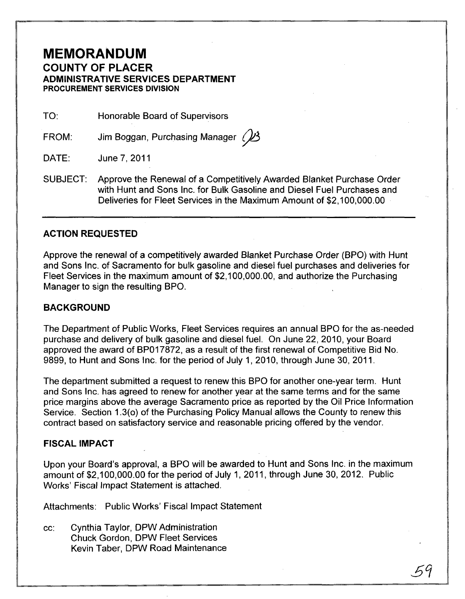# **MEMORANDUM COUNTY OF PLACER ADMINISTRATIVE SERVICES DEPARTMENT PROCUREMENT SERVICES DIVISION**

TO: Honorable Board of Supervisors

FROM: Jim Boggan, Purchasing Manager  $\mathbb{Z}$ 

DATE: June 7,2011

SUBJECT: Approve the Renewal of a Competitively Awarded Blanket Purchase Order with Hunt and Sons Inc. for Bulk Gasoline and Diesel Fuel Purchases and Deliveries for Fleet Services in the Maximum Amount of \$2,100,000.00

## **ACTION REQUESTED**

Approve the renewal of a competitively awarded Blanket Purchase Order (BPO) with Hunt and Sons Inc. of Sacramento for bulk gasoline and diesel fuel purchases and deliveries for Fleet Services in the maximum amount of \$2,100,000.00, and authorize the Purchasing Manager to sign the resulting BPO.

#### **BACKGROUND**

The Department of Public Works, Fleet Services requires an annual BPO for the as-needed purchase and delivery of bulk gasoline and diesel fuel. On June 22, 2010, your Board approved the award of BP017872, as a result of the first renewal of Competitive Bid No. 9899, to Hunt and Sons Inc. for the period of July 1, 2010, through June 30, 2011.

The department submitted a request to renew this BPO for another one-year term. Hunt and Sons Inc. has agreed to renew for another year at the same terms and for the same price margins above the average Sacramento price as reported by the Oil Price Information Service. Section 1.3(0) of the Purchasing Policy Manual allows the County to renew this contract based on satisfactory service and reasonable pricing offered by the vendor.

#### **FISCAL IMPACT**

Upon your Board's approval, a BPO will be awarded to Hunt and Sons Inc. in the maximum amount of \$2,100,000.00 for the period of July 1, 2011, through June 30, 2012. Public Works' Fiscal Impact Statement is attached.

Attachments: Public Works' Fiscal Impact Statement

cc: Cynthia Taylor, DPW Administration Chuck Gordon, DPW Fleet Services Kevin Taber, DPW Road Maintenance